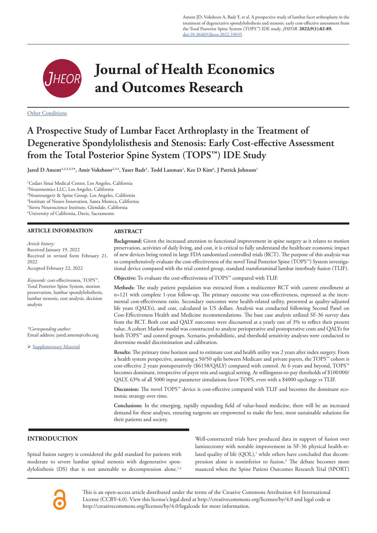Ament JD, Vokshoor A, Badr Y, et al. A prospective study of lumbar facet arthroplasty in the treatment of degenerative spondylolisthesis and stenosis: early cost-effective assessment from the Total Posterior Spine System (TOPS™) IDE study. *JHEOR*. **2022;9(1):82-89.** doi:10.36469/jheor.2022.33035



# **Journal of Health Economics and Outcomes Research**

**Other Conditions** 

# **A Prospective Study of Lumbar Facet Arthroplasty in the Treatment of Degenerative Spondylolisthesis and Stenosis: Early Cost-effective Assessment from the Total Posterior Spine System (TOPS™) IDE Study**

 ${\rm Jared~D~Ament}^{1,2,3,4,5*}, {\rm Amir~Vokshoor}^{2,3,4}, {\rm Yaser~Badr}^5, {\rm~Todd~Lanman}^1, {\rm Kee~D~Kim}^6, {\rm J~Patrick~Johnson}^{1,4}$ 

 Cedars Sinai Medical Center, Los Angeles, California Neuronomics LLC, Los Angeles, California Neurosurgery & Spine Group, Los Angeles, California Institute of Neuro Innovation, Santa Monica, California Sierra Neuroscience Institute, Glendale, California University of California, Davis, Sacramento

# **ARTICLE INFORMATION**

# **ABSTRACT**

*Article history:*  Received January 19, 2022 Received in revised form February 21, 2022 Accepted February 22, 2022 *Keywords:* cost-effectiveness, TOPS™, Total Posterior Spine System, motion preservation, lumbar spondylolisthesis, lumbar stenosis, cost analysis, decision analysis *\*Corresponding author:*  Email address: jared.ament@cshs.org Supplementary Material nomic strategy over time.

# **INTRODUCTION**

Spinal fusion surgery is considered the gold standard for patients with moderate to severe lumbar spinal stenosis with degenerative spondylolisthesis (DS) that is not amenable to decompression alone.<sup>1,2</sup> Well-constructed trials have produced data in support of fusion over laminectomy with notable improvement in SF-36 physical health-related quality of life  $(QOL)$ ,<sup>1</sup> while others have concluded that decompression alone is noninferior to fusion.3 The debate becomes more nuanced when the Spine Patient Outcomes Research Trial (SPORT)

This is an open-access article distributed under the terms of the Creative Commons Attribution 4.0 International License (CCBY-4.0). View this license's legal deed at http://creativecommons.org/licenses/by/4.0 and legal code at http://creativecommons.org/licenses/by/4.0/legalcode for more information.

**Background:** Given the increased attention to functional improvement in spine surgery as it relates to motion preservation, activities of daily living, and cost, it is critical to fully understand the healthcare economic impact of new devices being tested in large FDA randomized controlled trials (RCT). The purpose of this analysis was to comprehensively evaluate the cost-effectiveness of the novel Total Posterior Spine (TOPS™) System investigational device compared with the trial control group, standard transforaminal lumbar interbody fusion (TLIF).

**Objective:** To evaluate the cost-effectiveness of TOPS™ compared with TLIF.

**Methods:** The study patient population was extracted from a multicenter RCT with current enrollment at n=121 with complete 1-year follow-up. The primary outcome was cost-effectiveness, expressed as the incremental cost-effectiveness ratio. Secondary outcomes were health-related utility, presented as quality-adjusted life years (QALYs), and cost, calculated in US dollars. Analysis was conducted following Second Panel on Cost-Effectiveness Health and Medicine recommendations. The base case analysis utilized SF-36 survey data from the RCT. Both cost and QALY outcomes were discounted at a yearly rate of 3% to reflect their present value. A cohort Markov model was constructed to analyze perioperative and postoperative costs and QALYs for both TOPS™ and control groups. Scenario, probabilistic, and threshold sensitivity analyses were conducted to determine model discrimination and calibration.

**Results:** The primary time horizon used to estimate cost and health utility was 2 years after index surgery. From a health system perspective, assuming a 50/50 split between Medicare and private payers, the TOPS™ cohort is cost-effective 2 years postoperatively (\$6158/QALY) compared with control. At 6 years and beyond, TOPS™ becomes dominant, irrespective of payer mix and surgical setting. At willingness-to-pay thresholds of \$100000/ QALY, 63% of all 5000 input parameter simulations favor TOPS, even with a \$4000 upcharge vs TLIF.

**Discussion:** The novel TOPS™ device is cost-effective compared with TLIF and becomes the dominant eco-

**Conclusions:** In the emerging, rapidly expanding field of value-based medicine, there will be an increased demand for these analyses, ensuring surgeons are empowered to make the best, most sustainable solutions for their patients and society.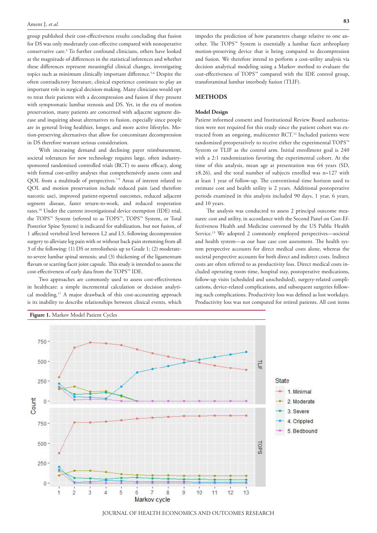group published their cost-effectiveness results concluding that fusion for DS was only moderately cost-effective compared with nonoperative conservative care.4 To further confound clinicians, others have looked at the magnitude of differences in the statistical inferences and whether these differences represent meaningful clinical changes, investigating topics such as minimum clinically important difference.<sup>5,6</sup> Despite the often contradictory literature, clinical experience continues to play an important role in surgical decision-making. Many clinicians would opt to treat their patients with a decompression and fusion if they present with symptomatic lumbar stenosis and DS. Yet, in the era of motion preservation, many patients are concerned with adjacent segment disease and inquiring about alternatives to fusion, especially since people are in general living healthier, longer, and more active lifestyles. Motion-preserving alternatives that allow for concomitant decompression in DS therefore warrant serious consideration.

With increasing demand and declining payer reimbursement, societal tolerances for new technology requires large, often industrysponsored randomized controlled trials (RCT) to assess efficacy, along with formal cost-utility analyses that comprehensively assess costs and QOL from a multitude of perspectives.<sup>7-9</sup> Areas of interest related to QOL and motion preservation include reduced pain (and therefore narcotic use), improved patient-reported outcomes, reduced adjacent segment disease, faster return-to-work, and reduced reoperation rates.10 Under the current investigational device exemption (IDE) trial, the TOPS™ System (referred to as TOPS™, TOPS™ System, or Total Posterior Spine System) is indicated for stabilization, but not fusion, of 1 affected vertebral level between L2 and L5, following decompression surgery to alleviate leg pain with or without back pain stemming from all 3 of the following: (1) DS or retrolisthesis up to Grade 1; (2) moderateto-severe lumbar spinal stenosis; and (3) thickening of the ligamentum flavum or scarring facet joint capsule. This study is intended to assess the cost-effectiveness of early data from the TOPS™ IDE.

Two approaches are commonly used to assess cost-effectiveness in healthcare: a simple incremental calculation or decision analytical modeling.11 A major drawback of this cost-accounting approach is its inability to describe relationships between clinical events, which impedes the prediction of how parameters change relative to one another. The TOPS™ System is essentially a lumbar facet arthroplasty motion-preserving device that is being compared to decompression and fusion. We therefore intend to perform a cost-utility analysis via decision analytical modeling using a Markov method to evaluate the cost-effectiveness of TOPS™ compared with the IDE control group, transforaminal lumbar interbody fusion (TLIF).

# **METHODS**

#### **Model Design**

Patient informed consent and Institutional Review Board authorization were not required for this study since the patient cohort was extracted from an ongoing, multicenter RCT.12 Included patients were randomized preoperatively to receive either the experimental TOPS™ System or TLIF as the control arm. Initial enrollment goal is 240 with a 2:1 randomization favoring the experimental cohort. At the time of this analysis, mean age at presentation was 64 years (SD, ±8.26), and the total number of subjects enrolled was n=127 with at least 1 year of follow-up. The conventional time horizon used to estimate cost and health utility is 2 years. Additional postoperative periods examined in this analysis included 90 days, 1 year, 6 years, and 10 years.

The analysis was conducted to assess 2 principal outcome measures: cost and utility, in accordance with the Second Panel on Cost-Effectiveness Health and Medicine convened by the US Public Health Service.13 We adopted 2 commonly employed perspectives—societal and health system—as our base case cost assessment. The health system perspective accounts for direct medical costs alone, whereas the societal perspective accounts for both direct and indirect costs. Indirect costs are often referred to as productivity loss. Direct medical costs included operating room time, hospital stay, postoperative medications, follow-up visits (scheduled and unscheduled), surgery-related complications, device-related complications, and subsequent surgeries following such complications. Productivity loss was defined as lost workdays. Productivity loss was not computed for retired patients. All cost items



JOURNAL OF HEALTH ECONOMICS AND OUTCOMES RESEARCH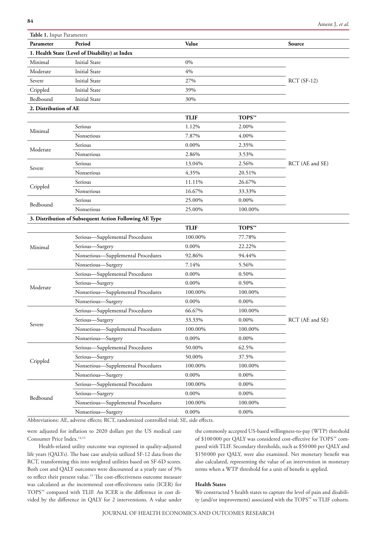| <b>Table 1.</b> Input Parameters |                                                        |                    |                    |                 |  |  |  |  |  |
|----------------------------------|--------------------------------------------------------|--------------------|--------------------|-----------------|--|--|--|--|--|
| Parameter                        | Period                                                 | Value              |                    | Source          |  |  |  |  |  |
|                                  | 1. Health State (Level of Disability) at Index         |                    |                    |                 |  |  |  |  |  |
| Minimal                          | <b>Initial State</b>                                   | $0\%$              |                    |                 |  |  |  |  |  |
| Moderate                         | <b>Initial State</b>                                   | 4%                 |                    |                 |  |  |  |  |  |
| Severe                           | <b>Initial State</b>                                   | 27%                |                    | $RCT(SF-12)$    |  |  |  |  |  |
| Crippled                         | <b>Initial State</b>                                   | 39%                |                    |                 |  |  |  |  |  |
| Bedbound                         | <b>Initial State</b>                                   | 30%                |                    |                 |  |  |  |  |  |
| 2. Distribution of AE            |                                                        |                    |                    |                 |  |  |  |  |  |
|                                  |                                                        | <b>TLIF</b>        | TOPS™              |                 |  |  |  |  |  |
| Minimal                          | Serious                                                | 1.12%              | 2.00%              |                 |  |  |  |  |  |
|                                  | Nonserious                                             | 7.87%              | 4.00%              |                 |  |  |  |  |  |
|                                  | Serious                                                | $0.00\%$           | 2.35%              |                 |  |  |  |  |  |
| Moderate                         | Nonserious                                             | 2.86%              | 3.53%              |                 |  |  |  |  |  |
| Severe                           | Serious                                                | 13.04%             | 2.56%              | RCT (AE and SE) |  |  |  |  |  |
|                                  | Nonserious                                             | 4.35%              | 20.51%             |                 |  |  |  |  |  |
|                                  | Serious                                                | 11.11%             | 26.67%             |                 |  |  |  |  |  |
| Crippled                         | Nonserious                                             | 16.67%             | 33.33%             |                 |  |  |  |  |  |
|                                  | Serious                                                | 25.00%             | $0.00\%$           |                 |  |  |  |  |  |
| Bedbound                         | Nonserious                                             | 25.00%             | 100.00%            |                 |  |  |  |  |  |
|                                  | 3. Distribution of Subsequent Action Following AE Type |                    |                    |                 |  |  |  |  |  |
|                                  |                                                        | <b>TLIF</b>        | TOPS <sub>TM</sub> |                 |  |  |  |  |  |
|                                  | Serious-Supplemental Procedures                        | 100.00%            | 77.78%             |                 |  |  |  |  |  |
| Minimal                          | Serious-Surgery                                        | $0.00\%$<br>22.22% |                    |                 |  |  |  |  |  |
|                                  | Nonserious-Supplemental Procedures                     | 92.86%             | 94.44%             |                 |  |  |  |  |  |
|                                  | Nonserious-Surgery                                     | 7.14%              | 5.56%              |                 |  |  |  |  |  |
|                                  | Serious-Supplemental Procedures                        | $0.00\%$           | 0.50%              |                 |  |  |  |  |  |
|                                  | Serious-Surgery                                        | 0.00%              | 0.50%              |                 |  |  |  |  |  |
| Moderate                         | Nonserious-Supplemental Procedures                     | 100.00%            | 100.00%            |                 |  |  |  |  |  |
|                                  | Nonserious-Surgery                                     | $0.00\%$           | $0.00\%$           |                 |  |  |  |  |  |
| Severe                           | Serious-Supplemental Procedures                        | 66.67%             | 100.00%            |                 |  |  |  |  |  |
|                                  | Serious-Surgery                                        | 33.33%             | $0.00\%$           | RCT (AE and SE) |  |  |  |  |  |
|                                  | Nonserious-Supplemental Procedures                     | 100.00%            | 100.00%            |                 |  |  |  |  |  |
|                                  | Nonserious-Surgery                                     | $0.00\%$           | $0.00\%$           |                 |  |  |  |  |  |
|                                  | Serious-Supplemental Procedures                        | 50.00%             | 62.5%              |                 |  |  |  |  |  |
|                                  | Serious-Surgery                                        | 50.00%             | 37.5%              |                 |  |  |  |  |  |
| Crippled                         | Nonserious-Supplemental Procedures                     | 100.00%            | 100.00%            |                 |  |  |  |  |  |
|                                  | Nonserious-Surgery                                     | $0.00\%$           | $0.00\%$           |                 |  |  |  |  |  |
|                                  | Serious-Supplemental Procedures                        | 100.00%            | $0.00\%$           |                 |  |  |  |  |  |
|                                  | Serious-Surgery                                        | $0.00\%$           | 0.00%              |                 |  |  |  |  |  |
| Bedbound                         | Nonserious-Supplemental Procedures                     | 100.00%            | 100.00%            |                 |  |  |  |  |  |
|                                  | Nonserious-Surgery                                     | $0.00\%$           | $0.00\%$           |                 |  |  |  |  |  |

Abbreviations: AE, adverse effects; RCT, randomized controlled trial; SE, side effects.

were adjusted for inflation to 2020 dollars per the US medical care Consumer Price Index.14,15

Health-related utility outcome was expressed in quality-adjusted life years (QALYs). The base case analysis utilized SF-12 data from the RCT, transforming this into weighted utilities based on SF-6D scores. Both cost and QALY outcomes were discounted at a yearly rate of 3% to reflect their present value.<sup>15</sup> The cost-effectiveness outcome measure was calculated as the incremental cost-effectiveness ratio (ICER) for TOPS™ compared with TLIF. An ICER is the difference in cost divided by the difference in QALY for 2 interventions. A value under the commonly accepted US-based willingness-to-pay (WTP) threshold of \$100 000 per QALY was considered cost-effective for TOPS™ compared with TLIF. Secondary thresholds, such as \$50000 per QALY and \$150000 per QALY, were also examined. Net monetary benefit was also calculated, representing the value of an intervention in monetary terms when a WTP threshold for a unit of benefit is applied.

# **Health States**

We constructed 5 health states to capture the level of pain and disability (and/or improvement) associated with the TOPS™ vs TLIF cohorts.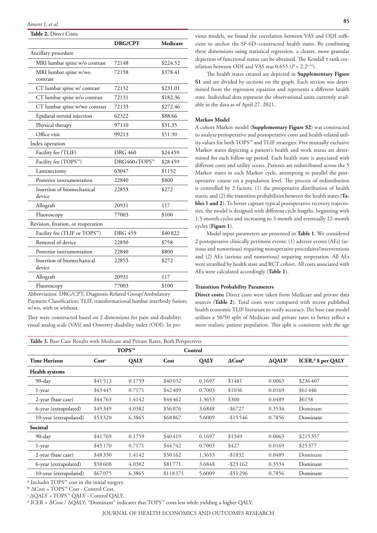# **Table 2.** Direct Costs

|                                      | <b>DRG/CPT</b> | Medicare |  |  |  |
|--------------------------------------|----------------|----------|--|--|--|
| Ancillary procedure                  |                |          |  |  |  |
| MRI lumbar spine w/o contrast        | 72148          | \$224.52 |  |  |  |
| MRI lumbar spine w/wo<br>contrast    | 72158          | \$378.41 |  |  |  |
| CT lumbar spine w/ contrast          | 72132          | \$231.01 |  |  |  |
| CT lumbar spine w/o contrast         | 72131          | \$182.36 |  |  |  |
| CT lumbar spine w/wo contrast        | 72133          | \$272.46 |  |  |  |
| Epidural steroid injection           | 62322          | \$88.66  |  |  |  |
| Physical therapy                     | 97110          | \$31.35  |  |  |  |
| Office visit                         | 99213          | \$51.90  |  |  |  |
| Index operation                      |                |          |  |  |  |
| Facility fee (TLIF)                  | <b>DRG 460</b> | \$24459  |  |  |  |
| Facility fee (TOPS™)                 | DRG460+TOPS™   | \$28459  |  |  |  |
| Laminectomy                          | 63047          | \$1152   |  |  |  |
| Posterior instrumentation            | 22840          | \$800    |  |  |  |
| Insertion of biomechanical<br>device | 22853          | \$272    |  |  |  |
| Allograft                            | 20931          | 117      |  |  |  |
| Fluoroscopy                          | 77003          | \$100    |  |  |  |
| Revision, fixation, or reoperation   |                |          |  |  |  |
| Facility fee (TLIF or TOPS™)         | <b>DRG 459</b> | \$40822  |  |  |  |
| Removal of device                    | 22850          | \$758    |  |  |  |
| Posterior instrumentation            | 22840          | \$800    |  |  |  |
| Insertion of biomechanical<br>device | 22853          | \$272    |  |  |  |
| Allograft                            | 20931          | 117      |  |  |  |
| Fluoroscopy                          | 77003          | \$100    |  |  |  |

Abbreviation: DRG/CPT, Diagnosis-Related Group/Ambulatory Payment Classification; TLIF, transformational lumbar interbody fusion; w/wo, with or without.

They were constructed based on 2 dimensions for pain and disability: visual analog scale (VAS) and Oswestry disability index (ODI). In pre-

vious models, we found the correlation between VAS and ODI sufficient to anchor the SF-6D–constructed health states. By combining these dimensions using statistical regression, a clearer, more granular depiction of functional status can be obtained. The Kendall τ rank correlation between ODI and VAS was  $0.655$  ( $P < 2.2e^{-16}$ ).

The health states created are depicted in **Supplementary Figure S1** and are divided by sections on the graph. Each section was determined from the regression equation and represents a different health state. Individual dots represent the observational units currently available in the data as of April 27, 2021.

# **Markov Model**

A cohort Markov model (**Supplementary Figure S2**) was constructed to analyze perioperative and postoperative costs and health-related utility values for both TOPS™ and TLIF strategies. Five mutually exclusive Markov states depicting a patient's health and work status are determined for each follow-up period. Each health state is associated with different costs and utility scores. Patients are redistributed across the 5 Markov states in each Markov cycle, attempting to parallel the postoperative course on a population level. The process of redistribution is controlled by 2 factors: (1) the preoperative distribution of health states; and (2) the transition probabilities between the health states (**Tables 1 and 2**). To better capture typical postoperative recovery trajectories, the model is designed with different cycle lengths, beginning with 1.5-month cycles and increasing to 3-month and eventually 12-month cycles (**Figure 1**).

Model input parameters are presented in **Table 1**. We considered 2 postoperative clinically pertinent events: (1) adverse events (AEs) (serious and nonserious) requiring nonoperative procedures/interventions and (2) AEs (serious and nonserious) requiring reoperation. All AEs were stratified by health state and RCT cohort. All costs associated with AEs were calculated accordingly (**Table 1**).

#### **Transition Probability Parameters**

**Direct costs:** Direct costs were taken from Medicare and private data sources (**Table 2**). Total costs were compared with recent published health economic TLIF literature to verify accuracy. The base case model utilizes a 50/50 split of Medicare and private rates to better reflect a more realistic patient population. This split is consistent with the age

|                        | TOPS™             |        | Control  |             |                            |                 |                                |
|------------------------|-------------------|--------|----------|-------------|----------------------------|-----------------|--------------------------------|
| <b>Time Horizon</b>    | Cost <sup>a</sup> | QALY   | Cost     | <b>QALY</b> | $\Delta$ Cost <sup>b</sup> | $\Delta QALY^c$ | ICER, <sup>d</sup> \$ per QALY |
| <b>Health systems</b>  |                   |        |          |             |                            |                 |                                |
| $90$ -day              | \$41513           | 0.1759 | \$40032  | 0.1697      | \$1481                     | 0.0063          | \$236407                       |
| 1-year                 | \$43445           | 0.7171 | \$42409  | 0.7003      | \$1036                     | 0.0169          | \$61446                        |
| 2-year (base case)     | \$44763           | 1.4142 | \$44462  | 1.3653      | \$300                      | 0.0489          | \$6158                         |
| 6-year (extrapolated)  | \$49349           | 4.0382 | \$56076  | 3.6848      | $-$ \$6727                 | 0.3534          | Dominant                       |
| 10-year (extrapolated) | \$53320           | 6.3865 | \$68867  | 5.6009      | $-$ \$15546                | 0.7856          | Dominant                       |
| Societal               |                   |        |          |             |                            |                 |                                |
| $90$ -day              | \$41769           | 0.1759 | \$40419  | 0.1697      | \$1349                     | 0.0063          | \$215357                       |
| 1-year                 | \$45170           | 0.7171 | \$44742  | 0.7003      | \$427                      | 0.0169          | \$25,377                       |
| 2-year (base case)     | \$48330           | 1.4142 | \$50162  | 1.3653      | $-$1832$                   | 0.0489          | Dominant                       |
| 6-year (extrapolated)  | \$58608           | 4.0382 | \$81771  | 3.6848      | $-$ \$23162                | 0.3534          | Dominant                       |
| 10-year (extrapolated) | \$67075           | 6.3865 | \$118371 | 5.6009      | $-$ \$51296                | 0.7856          | Dominant                       |

 $^{\rm a}$  Includes TOPS™ cost in the initial surgery.

b ∆Cost = TOPS™ Cost - Control Cost.

c ∆QALY = TOPS™ QALY - Control QALY.

d ICER = ∆Cost / ∆QALY; "Dominant" indicates that TOPS™ costs less while yielding a higher QALY.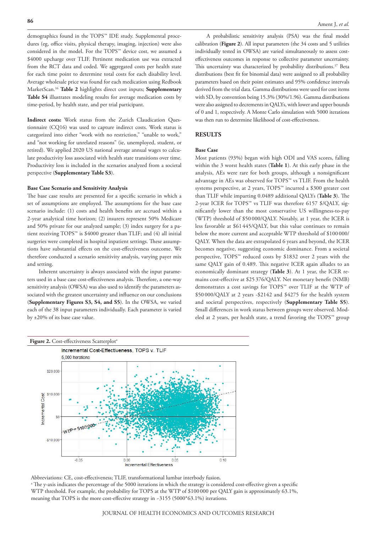demographics found in the TOPS™ IDE study. Supplemental procedures (eg, office visits, physical therapy, imaging, injection) were also considered in the model. For the TOPS™ device cost, we assumed a \$4000 upcharge over TLIF. Pertinent medication use was extracted from the RCT data and coded. We aggregated costs per health state for each time point to determine total costs for each disability level. Average wholesale price was found for each medication using Redbook MarketScan.16 **Table 2** highlights direct cost inputs; **Supplementary Table S4** illustrates modeling results for average medication costs by time-period, by health state, and per trial participant.

**Indirect costs:** Work status from the Zurich Claudication Questionnaire (CQ16) was used to capture indirect costs. Work status is categorized into either "work with no restriction," "unable to work," and "not working for unrelated reasons" (ie, unemployed, student, or retired). We applied 2020 US national average annual wages to calculate productivity loss associated with health state transitions over time. Productivity loss is included in the scenarios analyzed from a societal perspective (**Supplementary Table S3**).

#### **Base Case Scenario and Sensitivity Analysis**

The base case results are presented for a specific scenario in which a set of assumptions are employed. The assumptions for the base case scenario include: (1) costs and health benefits are accrued within a 2-year analytical time horizon; (2) insurers represent 50% Medicare and 50% private for our analyzed sample; (3) index surgery for a patient receiving TOPS™ is \$4000 greater than TLIF; and (4) all initial surgeries were completed in hospital inpatient settings. These assumptions have substantial effects on the cost-effectiveness outcome. We therefore conducted a scenario sensitivity analysis, varying payer mix and setting.

Inherent uncertainty is always associated with the input parameters used in a base case cost-effectiveness analysis. Therefore, a one-way sensitivity analysis (OWSA) was also used to identify the parameters associated with the greatest uncertainty and influence on our conclusions (**Supplementary Figures S3, S4, and S5**). In the OWSA, we varied each of the 38 input parameters individually. Each parameter is varied by ±20% of its base case value.

A probabilistic sensitivity analysis (PSA) was the final model calibration (**Figure 2**). All input parameters (the 34 costs and 5 utilities individually tested in OWSA) are varied simultaneously to assess costeffectiveness outcomes in response to collective parameter uncertainty. This uncertainty was characterized by probability distributions.<sup>17</sup> Beta distributions (best fit for binomial data) were assigned to all probability parameters based on their point estimates and 95% confidence intervals derived from the trial data. Gamma distributions were used for cost items with SD, by convention being 15.3% (30%/1.96). Gamma distributions were also assigned to decrements in QALYs, with lower and upper bounds of 0 and 1, respectively. A Monte Carlo simulation with 5000 iterations was then run to determine likelihood of cost-effectiveness.

# **RESULTS**

#### **Base Case**

Most patients (93%) began with high ODI and VAS scores, falling within the 3 worst health states (**Table 1**). At this early phase in the analysis, AEs were rare for both groups, although a nonsignificant advantage in AEs was observed for TOPS™ vs TLIF. From the health systems perspective, at 2 years, TOPS™ incurred a \$300 greater cost than TLIF while imparting 0.0489 additional QALYs (**Table 3**). The 2-year ICER for TOPS™ vs TLIF was therefore 6157 \$/QALY, significantly lower than the most conservative US willingness-to-pay (WTP) threshold of \$50 000/QALY. Notably, at 1 year, the ICER is less favorable at \$61 445/QALY, but this value continues to remain below the more current and acceptable WTP threshold of \$100 000/ QALY. When the data are extrapolated 6 years and beyond, the ICER becomes negative, suggesting economic dominance. From a societal perspective, TOPS™ reduced costs by \$1832 over 2 years with the same QALY gain of 0.489. This negative ICER again alludes to an economically dominant strategy (**Table 3**). At 1 year, the ICER remains cost-effective at \$25 376/QALY. Net monetary benefit (NMB) demonstrates a cost savings for TOPS™ over TLIF at the WTP of \$50 000/QALY at 2 years -\$2142 and \$4275 for the health system and societal perspectives, respectively (**Supplementary Table S5**). Small differences in work status between groups were observed. Modeled at 2 years, per health state, a trend favoring the TOPS™ group



Abbreviations: CE, cost-effectiveness; TLIF, transformational lumbar interbody fusion.

a The y-axis indicates the percentage of the 5000 iterations in which the strategy is considered cost-effective given a specific WTP threshold. For example, the probability for TOPS at the WTP of \$100000 per QALY gain is approximately 63.1%, meaning that TOPS is the more cost-effective strategy in ~3155 (5000\*63.1%) iterations.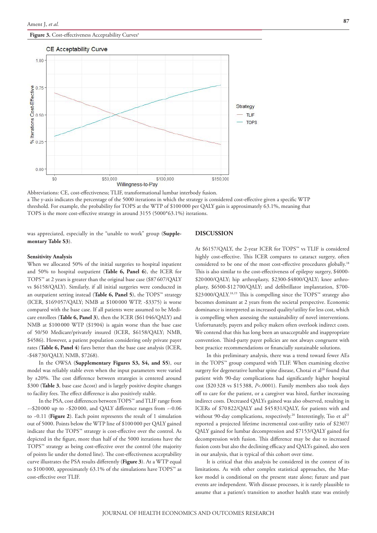#### Figure 3. Cost-effectiveness Acceptability Curves<sup>a</sup>



Abbreviations: CE, cost-effectiveness; TLIF, transformational lumbar interbody fusion. a The y-axis indicates the percentage of the 5000 iterations in which the strategy is considered cost-effective given a specific WTP threshold. For example, the probability for TOPS at the WTP of \$100000 per QALY gain is approximately 63.1%, meaning that TOPS is the more cost-effective strategy in around 3155 (5000\*63.1%) iterations.

was appreciated, especially in the "unable to work" group (**Supplementary Table S3**).

#### **DISCUSSION**

#### **Sensitivity Analysis**

When we allocated 50% of the initial surgeries to hospital inpatient and 50% to hospital outpatient (**Table 6, Panel 6**), the ICER for TOPS™ at 2 years is greater than the original base case (\$87607/QALY vs \$6158/QALY). Similarly, if all initial surgeries were conducted in an outpatient setting instead (**Table 6, Panel 5**), the TOPS™ strategy (ICER, \$169057/QALY; NMB at \$100 000 WTP, -\$3375) is worse compared with the base case. If all patients were assumed to be Medicare enrollees (**Table 6, Panel 3**), then the ICER (\$61046/QALY) and NMB at \$100000 WTP (\$1904) is again worse than the base case of 50/50 Medicare/privately insured (ICER, \$6158/QALY; NMB, \$4586). However, a patient population considering only private payer rates (**Table 6, Panel 4**) fares better than the base case analysis (ICER, -\$48 730/QALY; NMB, \$7268).

In the OWSA (**Supplementary Figures S3, S4, and S5**), our model was reliably stable even when the input parameters were varied by ±20%. The cost difference between strategies is centered around \$300 (**Table 3**, base case ∆cost) and is largely positive despite changes to facility fees. The effect difference is also positively stable.

In the PSA, cost differences between TOPS™ and TLIF range from ~-\$20 000 up to ~\$20000, and QALY difference ranges from ~-0.06 to ~0.11 (**Figure 2**). Each point represents the result of 1 simulation out of 5000. Points below the WTP line of \$100000 per QALY gained indicate that the TOPS™ strategy is cost-effective over the control. As depicted in the figure, more than half of the 5000 iterations have the TOPS™ strategy as being cost-effective over the control (the majority of points lie under the dotted line). The cost-effectiveness acceptability curve illustrates the PSA results differently (**Figure 3**). At a WTP equal to \$100000, approximately 63.1% of the simulations have TOPS™ as cost-effective over TLIF.

At \$6157/QALY, the 2-year ICER for TOPS™ vs TLIF is considered highly cost-effective. This ICER compares to cataract surgery, often considered to be one of the most cost-effective procedures globally.18 This is also similar to the cost-effectiveness of epilepsy surgery, \$4000- \$20000/QALY; hip arthroplasty, \$2300-\$4800/QALY; knee arthroplasty, \$6500-\$12 700/QALY; and defibrillator implantation, \$700- \$23000/QALY.<sup>18,19</sup> This is compelling since the TOPS™ strategy also becomes dominant at 2 years from the societal perspective. Economic dominance is interpreted as increased quality/utility for less cost, which is compelling when assessing the sustainability of novel interventions. Unfortunately, payers and policy makers often overlook indirect costs. We contend that this has long been an unacceptable and inappropriate convention. Third-party payer policies are not always congruent with best practice recommendations or financially sustainable solutions.

In this preliminary analysis, there was a trend toward fewer AEs in the TOPS™ group compared with TLIF. When examining elective surgery for degenerative lumbar spine disease, Chotai et al<sup>20</sup> found that patient with 90-day complications had significantly higher hospital cost (\$20328 vs \$15388, *P*<.0001). Family members also took days off to care for the patient, or a caregiver was hired, further increasing indirect costs. Decreased QALYs gained was also observed, resulting in ICERs of \$70 822/QALY and \$45831/QALY, for patients with and without 90-day complications, respectively.<sup>20</sup> Interestingly, Tso et al<sup>21</sup> reported a projected lifetime incremental cost-utility ratio of \$2307/ QALY gained for lumbar decompression and \$7153/QALY gained for decompression with fusion. This difference may be due to increased fusion costs but also the declining efficacy and QALYs gained, also seen in our analysis, that is typical of this cohort over time.

It is critical that this analysis be considered in the context of its limitations. As with other complex statistical approaches, the Markov model is conditional on the present state alone; future and past events are independent. With disease processes, it is rarely plausible to assume that a patient's transition to another health state was entirely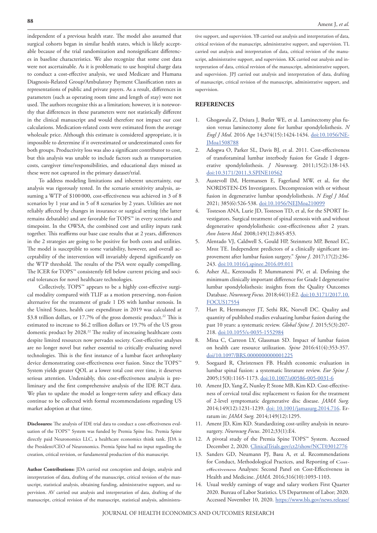independent of a previous health state. The model also assumed that surgical cohorts began in similar health states, which is likely acceptable because of the trial randomization and nonsignificant differences in baseline characteristics. We also recognize that some cost data were not ascertainable. As it is problematic to use hospital charge data to conduct a cost-effective analysis, we used Medicare and Humana Diagnosis-Related Group/Ambulatory Payment Classification rates as representations of public and private payers. As a result, differences in parameters (such as operating room time and length of stay) were not used. The authors recognize this as a limitation; however, it is noteworthy that differences in these parameters were not statistically different in the clinical manuscript and would therefore not impact our cost calculations. Medication-related costs were estimated from the average wholesale price. Although this estimate is considered appropriate, it is impossible to determine if it overestimated or underestimated costs for both groups. Productivity loss was also a significant contributor to cost, but this analysis was unable to include factors such as transportation costs, caregiver time/responsibilities, and educational days missed as these were not captured in the primary dataset/trial.

To address modeling limitations and inherent uncertainty, our analysis was rigorously tested. In the scenario sensitivity analysis, assuming a WTP of \$100 000, cost-effectiveness was achieved in 3 of 8 scenarios by 1 year and in 5 of 8 scenarios by 2 years. Utilities are not reliably affected by changes in insurance or surgical setting (the latter remains debatable) and are favorable for TOPS™ in every scenario and timepoint. In the OWSA, the combined cost and utility inputs rank together. This reaffirms our base case results that at 2 years, differences in the 2 strategies are going to be positive for both costs and utilities. The model is susceptible to some variability, however, and overall acceptability of the intervention will invariably depend significantly on the WTP threshold. The results of the PSA were equally compelling. The ICER for TOPS™ consistently fell below current pricing and societal tolerances for novel healthcare technologies.

Collectively, TOPS™ appears to be a highly cost-effective surgical modality compared with TLIF as a motion preserving, non-fusion alternative for the treatment of grade 1 DS with lumbar stenosis. In the United States, health care expenditure in 2019 was calculated at \$3.8 trillion dollars, or 17.7% of the gross domestic product.<sup>22</sup> This is estimated to increase to \$6.2 trillion dollars or 19.7% of the US gross domestic product by 2028.<sup>22</sup> The reality of increasing healthcare costs despite limited resources now pervades society. Cost-effective analyses are no longer novel but rather essential to critically evaluating novel technologies. This is the first instance of a lumbar facet arthroplasty device demonstrating cost-effectiveness over fusion. Since the TOPS™ System yields greater QOL at a lower total cost over time, it deserves serious attention. Undeniably, this cost-effectiveness analysis is preliminary and the first comprehensive analysis of the IDE RCT data. We plan to update the model as longer-term safety and efficacy data continue to be collected with formal recommendations regarding US market adoption at that time.

**Disclosures:** The analysis of IDE trial data to conduct a cost-effectiveness evaluation of the TOPS™ System was funded by Premia Spine Inc. Premia Spine directly paid Neuronomics LLC, a healthcare economics think tank. JDA is the President/CEO of Neuronomics. Premia Spine had no input regarding the creation, critical revision, or fundamental production of this manuscript.

**Author Contributions:** JDA carried out conception and design, analysis and interpretation of data, drafting of the manuscript, critical revision of the manuscript, statistical analysis, obtaining funding, administrative support, and supervision. AV carried out analysis and interpretation of data, drafting of the manuscript, critical revision of the manuscript, statistical analysis, administrative support, and supervision. YB carried out analysis and interpretation of data, critical revision of the manuscript, administrative support, and supervision. TL carried out analysis and interpretation of data, critical revision of the manuscript, administrative support, and supervision. KK carried out analysis and interpretation of data, critical revision of the manuscript, administrative support, and supervision. JPJ carried out analysis and interpretation of data, drafting of manuscript, critical revision of the manuscript, administrative support, and supervision.

## **REFERENCES**

- 1. Ghogawala Z, Dziura J, Butler WE, et al. Laminectomy plus fusion versus laminectomy alone for lumbar spondylolisthesis. *N Engl J Med*. 2016 Apr 14;374(15):1424-1434. doi:10.1056/NE-JMoa1508788
- 2. Adogwa O, Parker SL, Davis BJ, et al. 2011. Cost-effectiveness of transforaminal lumbar interbody fusion for Grade I degenerative spondylolisthesis. *J Neurosurg.* 2011;15(2):138-143. doi:10.3171/2011.3.SPINE10562
- 3. Austevoll IM, Hermansen E, Fagerland MW, et al, for the NORDSTEN-DS Investigators. Decompression with or without fusion in degenerative lumbar spondylolisthesis. *N Engl J Med.* 2021; 385(6):526-538. doi:10.1056/NEJMoa210099
- 4. Tosteson ANA, Lurie JD, Tosteson TD, et al, for the SPORT Investigators. Surgical treatment of spinal stenosis with and without degenerative spondylolisthesis: cost-effectiveness after 2 years. *Ann Intern Med.* 2008;149(12):845-853.
- 5. Alentado VJ, Caldwell S, Gould HP, Steinmetz MP, Benzel EC, Mroz TE. Independent predictors of a clinically significant improvement after lumbar fusion surgery." *Spine J.* 2017;17(2):236- 243. doi:10.1016/j.spinee.2016.09.011
- Asher AL, Kerezoudis P, Mummaneni PV, et al. Defining the minimum clinically important difference for Grade I degenerative lumbar spondylolisthesis: insights from the Quality Outcomes Database. *Neurosurg Focus.* 2018;44(1):E2. doi:10.3171/2017.10. FOCUS17554
- 7. Hart R, Hermsmeyer JT, Sethi RK, Norvell DC. Quality and quantity of published studies evaluating lumbar fusion during the past 10 years: a systematic review. *Global Spine J.* 2015;5(3):207- 218. doi:10.1055/s-0035-1552984
- 8. Mina C, Carreon LY, Glassman SD. Impact of lumbar fusion on health care resource utilization. *Spine* 2016:41(4):353-357. doi/10.1097/BRS.0000000000001225
- 9. Soegaard R, Christensen FB. Health economic evaluation in lumbar spinal fusion: a systematic literature review. *Eur Spine J.* 2005;15(8):1165-1173. doi:10.1007/s00586-005-0031-6
- 10. Ament JD, Yang Z, Nunley P, Stone MB, Kim KD. Cost-effectiveness of cervical total disc replacement vs fusion for the treatment of 2-level symptomatic degenerative disc disease. *JAMA Surg.* 2014;149(12):1231-1239. doi: 10.1001/jamasurg.2014.716. Erratum in: *JAMA Surg.* 2014;149(12):1295.
- 11. Ament JD, Kim KD. Standardizing cost-utility analysis in neurosurgery. *Neurosurg Focus*. 2012;33(1):E4.
- 12. A pivotal study of the Premia Spine TOPS™ System. Accessed December 2, 2020. ClinicalTrials.gov/ct2/show/NCT03012776
- 13. Sanders GD, Neumann PJ, Basu A, et al. Recommendations for Conduct, Methodological Practices, and Reporting of Costeffectiveness Analyses: Second Panel on Cost-Effectiveness in Health and Medicine. *JAMA*. 2016;316(10):1093-1103.
- 14. Usual weekly earnings of wage and salary workers First Quarter 2020. Bureau of Labor Statistics. US Department of Labor; 2020. Accessed November 10, 2020. https://www.bls.gov/news.release/